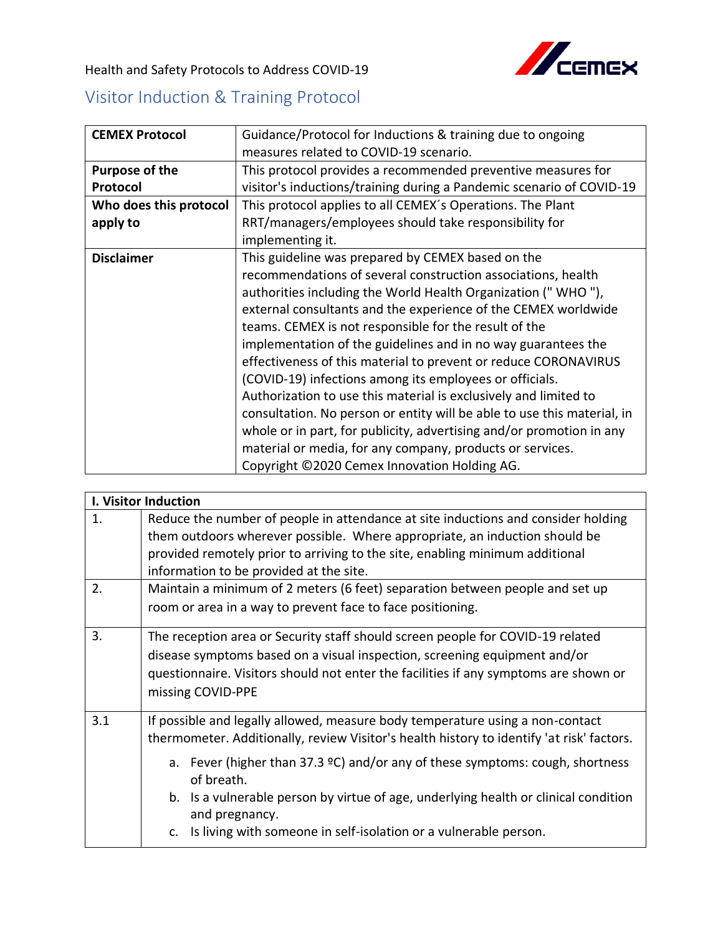

Health and Safety Protocols to Address COVID-19

## Visitor Induction & Training Protocol

| <b>CEMEX Protocol</b>  | Guidance/Protocol for Inductions & training due to ongoing              |
|------------------------|-------------------------------------------------------------------------|
|                        | measures related to COVID-19 scenario.                                  |
| Purpose of the         | This protocol provides a recommended preventive measures for            |
| Protocol               | visitor's inductions/training during a Pandemic scenario of COVID-19    |
| Who does this protocol | This protocol applies to all CEMEX's Operations. The Plant              |
| apply to               | RRT/managers/employees should take responsibility for                   |
|                        | implementing it.                                                        |
| <b>Disclaimer</b>      | This guideline was prepared by CEMEX based on the                       |
|                        | recommendations of several construction associations, health            |
|                        | authorities including the World Health Organization ("WHO"),            |
|                        | external consultants and the experience of the CEMEX worldwide          |
|                        | teams. CEMEX is not responsible for the result of the                   |
|                        | implementation of the guidelines and in no way guarantees the           |
|                        | effectiveness of this material to prevent or reduce CORONAVIRUS         |
|                        | (COVID-19) infections among its employees or officials.                 |
|                        | Authorization to use this material is exclusively and limited to        |
|                        | consultation. No person or entity will be able to use this material, in |
|                        | whole or in part, for publicity, advertising and/or promotion in any    |
|                        | material or media, for any company, products or services.               |
|                        | Copyright ©2020 Cemex Innovation Holding AG.                            |

|                  | <b>I. Visitor Induction</b>                                                                                                                                                                                                                                                                                                                                                                                                                                                       |  |  |
|------------------|-----------------------------------------------------------------------------------------------------------------------------------------------------------------------------------------------------------------------------------------------------------------------------------------------------------------------------------------------------------------------------------------------------------------------------------------------------------------------------------|--|--|
| 1.               | Reduce the number of people in attendance at site inductions and consider holding<br>them outdoors wherever possible. Where appropriate, an induction should be<br>provided remotely prior to arriving to the site, enabling minimum additional<br>information to be provided at the site.                                                                                                                                                                                        |  |  |
| 2.               | Maintain a minimum of 2 meters (6 feet) separation between people and set up<br>room or area in a way to prevent face to face positioning.                                                                                                                                                                                                                                                                                                                                        |  |  |
| $\overline{3}$ . | The reception area or Security staff should screen people for COVID-19 related<br>disease symptoms based on a visual inspection, screening equipment and/or<br>questionnaire. Visitors should not enter the facilities if any symptoms are shown or<br>missing COVID-PPE                                                                                                                                                                                                          |  |  |
| 3.1              | If possible and legally allowed, measure body temperature using a non-contact<br>thermometer. Additionally, review Visitor's health history to identify 'at risk' factors.<br>a. Fever (higher than 37.3 $\degree$ C) and/or any of these symptoms: cough, shortness<br>of breath.<br>b. Is a vulnerable person by virtue of age, underlying health or clinical condition<br>and pregnancy.<br>Is living with someone in self-isolation or a vulnerable person.<br>$\mathsf{C}$ . |  |  |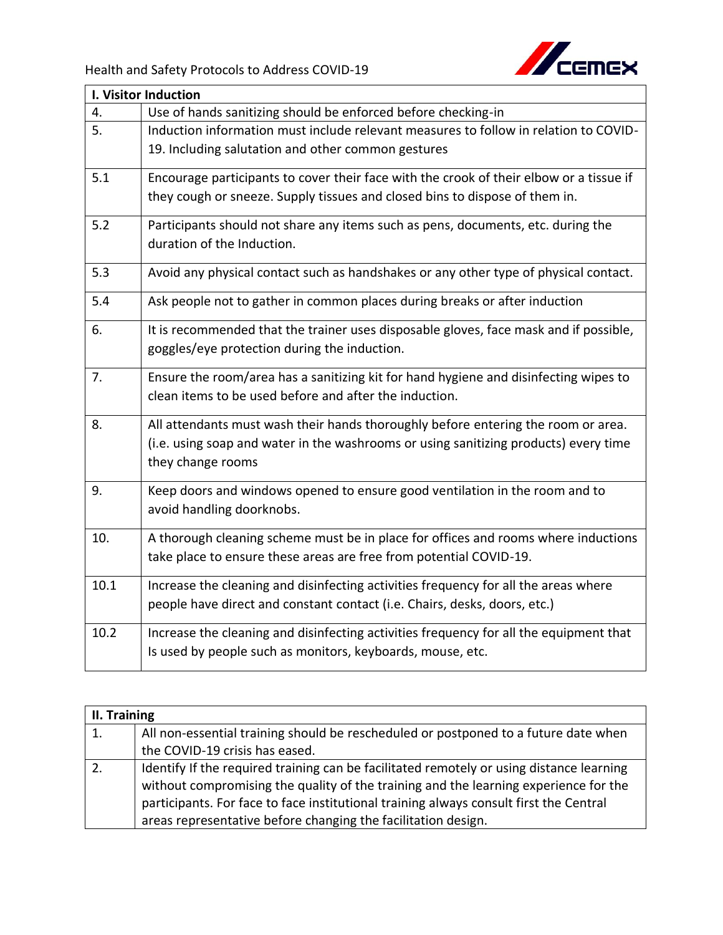

| I. Visitor Induction |                                                                                         |  |
|----------------------|-----------------------------------------------------------------------------------------|--|
| 4.                   | Use of hands sanitizing should be enforced before checking-in                           |  |
| 5.                   | Induction information must include relevant measures to follow in relation to COVID-    |  |
|                      | 19. Including salutation and other common gestures                                      |  |
| 5.1                  | Encourage participants to cover their face with the crook of their elbow or a tissue if |  |
|                      | they cough or sneeze. Supply tissues and closed bins to dispose of them in.             |  |
| 5.2                  | Participants should not share any items such as pens, documents, etc. during the        |  |
|                      | duration of the Induction.                                                              |  |
| 5.3                  | Avoid any physical contact such as handshakes or any other type of physical contact.    |  |
| 5.4                  | Ask people not to gather in common places during breaks or after induction              |  |
| 6.                   | It is recommended that the trainer uses disposable gloves, face mask and if possible,   |  |
|                      | goggles/eye protection during the induction.                                            |  |
| 7.                   | Ensure the room/area has a sanitizing kit for hand hygiene and disinfecting wipes to    |  |
|                      | clean items to be used before and after the induction.                                  |  |
| 8.                   | All attendants must wash their hands thoroughly before entering the room or area.       |  |
|                      | (i.e. using soap and water in the washrooms or using sanitizing products) every time    |  |
|                      | they change rooms                                                                       |  |
| 9.                   | Keep doors and windows opened to ensure good ventilation in the room and to             |  |
|                      | avoid handling doorknobs.                                                               |  |
| 10.                  | A thorough cleaning scheme must be in place for offices and rooms where inductions      |  |
|                      | take place to ensure these areas are free from potential COVID-19.                      |  |
| 10.1                 | Increase the cleaning and disinfecting activities frequency for all the areas where     |  |
|                      | people have direct and constant contact (i.e. Chairs, desks, doors, etc.)               |  |
|                      |                                                                                         |  |
| 10.2                 | Increase the cleaning and disinfecting activities frequency for all the equipment that  |  |
|                      | Is used by people such as monitors, keyboards, mouse, etc.                              |  |
|                      |                                                                                         |  |

| II. Training |                                                                                          |  |
|--------------|------------------------------------------------------------------------------------------|--|
| 1.           | All non-essential training should be rescheduled or postponed to a future date when      |  |
|              | the COVID-19 crisis has eased.                                                           |  |
|              | Identify If the required training can be facilitated remotely or using distance learning |  |
|              | without compromising the quality of the training and the learning experience for the     |  |
|              | participants. For face to face institutional training always consult first the Central   |  |
|              | areas representative before changing the facilitation design.                            |  |